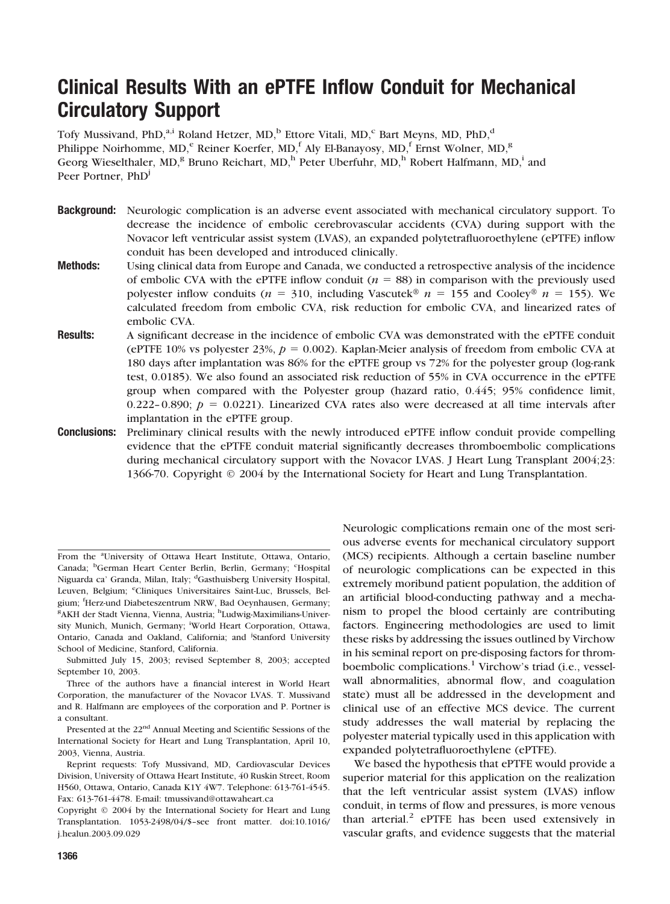# **Clinical Results With an ePTFE Inflow Conduit for Mechanical Circulatory Support**

Tofy Mussivand, PhD,<sup>a,i</sup> Roland Hetzer, MD,<sup>b</sup> Ettore Vitali, MD,<sup>c</sup> Bart Meyns, MD, PhD,<sup>d</sup> Philippe Noirhomme, MD,<sup>e</sup> Reiner Koerfer, MD,<sup>f</sup> Aly El-Banayosy, MD,<sup>f</sup> Ernst Wolner, MD,<sup>g</sup> Georg Wieselthaler, MD,<sup>g</sup> Bruno Reichart, MD,<sup>h</sup> Peter Uberfuhr, MD,<sup>h</sup> Robert Halfmann, MD,<sup>i</sup> and Peer Portner, PhD<sup>j</sup>

**Background:** Neurologic complication is an adverse event associated with mechanical circulatory support. To decrease the incidence of embolic cerebrovascular accidents (CVA) during support with the Novacor left ventricular assist system (LVAS), an expanded polytetrafluoroethylene (ePTFE) inflow conduit has been developed and introduced clinically.

- **Methods:** Using clinical data from Europe and Canada, we conducted a retrospective analysis of the incidence of embolic CVA with the ePTFE inflow conduit  $(n = 88)$  in comparison with the previously used polyester inflow conduits ( $n = 310$ , including Vascutek<sup>®</sup>  $n = 155$  and Cooley<sup>®</sup>  $n = 155$ ). We calculated freedom from embolic CVA, risk reduction for embolic CVA, and linearized rates of embolic CVA.
- **Results:** A significant decrease in the incidence of embolic CVA was demonstrated with the ePTFE conduit (ePTFE 10% vs polyester 23%,  $p = 0.002$ ). Kaplan-Meier analysis of freedom from embolic CVA at 180 days after implantation was 86% for the ePTFE group vs 72% for the polyester group (log-rank test, 0.0185). We also found an associated risk reduction of 55% in CVA occurrence in the ePTFE group when compared with the Polyester group (hazard ratio, 0.445; 95% confidence limit, 0.222– 0.890;  $p = 0.0221$ ). Linearized CVA rates also were decreased at all time intervals after implantation in the ePTFE group.
- **Conclusions:** Preliminary clinical results with the newly introduced ePTFE inflow conduit provide compelling evidence that the ePTFE conduit material significantly decreases thromboembolic complications during mechanical circulatory support with the Novacor LVAS. J Heart Lung Transplant 2004;23: 1366-70. Copyright © 2004 by the International Society for Heart and Lung Transplantation.

Submitted July 15, 2003; revised September 8, 2003; accepted September 10, 2003.

Neurologic complications remain one of the most serious adverse events for mechanical circulatory support (MCS) recipients. Although a certain baseline number of neurologic complications can be expected in this extremely moribund patient population, the addition of an artificial blood-conducting pathway and a mechanism to propel the blood certainly are contributing factors. Engineering methodologies are used to limit these risks by addressing the issues outlined by Virchow in his seminal report on pre-disposing factors for thromboembolic complications.<sup>1</sup> Virchow's triad (i.e., vesselwall abnormalities, abnormal flow, and coagulation state) must all be addressed in the development and clinical use of an effective MCS device. The current study addresses the wall material by replacing the polyester material typically used in this application with expanded polytetrafluoroethylene (ePTFE).

We based the hypothesis that ePTFE would provide a superior material for this application on the realization that the left ventricular assist system (LVAS) inflow conduit, in terms of flow and pressures, is more venous than arterial. $2$  ePTFE has been used extensively in vascular grafts, and evidence suggests that the material

From the <sup>a</sup>University of Ottawa Heart Institute, Ottawa, Ontario, Canada; <sup>b</sup>German Heart Center Berlin, Berlin, Germany; <sup>c</sup>Hospital Niguarda ca' Granda, Milan, Italy; <sup>d</sup>Gasthuisberg University Hospital, Leuven, Belgium; <sup>e</sup>Cliniques Universitaires Saint-Luc, Brussels, Belgium; <sup>f</sup> Herz-und Diabeteszentrum NRW, Bad Oeynhausen, Germany; <sup>g</sup>AKH der Stadt Vienna, Vienna, Austria; <sup>h</sup>Ludwig-Maximilians-University Munich, Munich, Germany; <sup>i</sup> World Heart Corporation, Ottawa, Ontario, Canada and Oakland, California; and <sup>j</sup>Stanford University School of Medicine, Stanford, California.

Three of the authors have a financial interest in World Heart Corporation, the manufacturer of the Novacor LVAS. T. Mussivand and R. Halfmann are employees of the corporation and P. Portner is a consultant.

Presented at the 22<sup>nd</sup> Annual Meeting and Scientific Sessions of the International Society for Heart and Lung Transplantation, April 10, 2003, Vienna, Austria.

Reprint requests: Tofy Mussivand, MD, Cardiovascular Devices Division, University of Ottawa Heart Institute, 40 Ruskin Street, Room H560, Ottawa, Ontario, Canada K1Y 4W7. Telephone: 613-761-4545. Fax: 613-761-4478. E-mail: tmussivand@ottawaheart.ca

Copyright © 2004 by the International Society for Heart and Lung Transplantation. 1053-2498/04/\$–see front matter. doi:10.1016/ j.healun.2003.09.029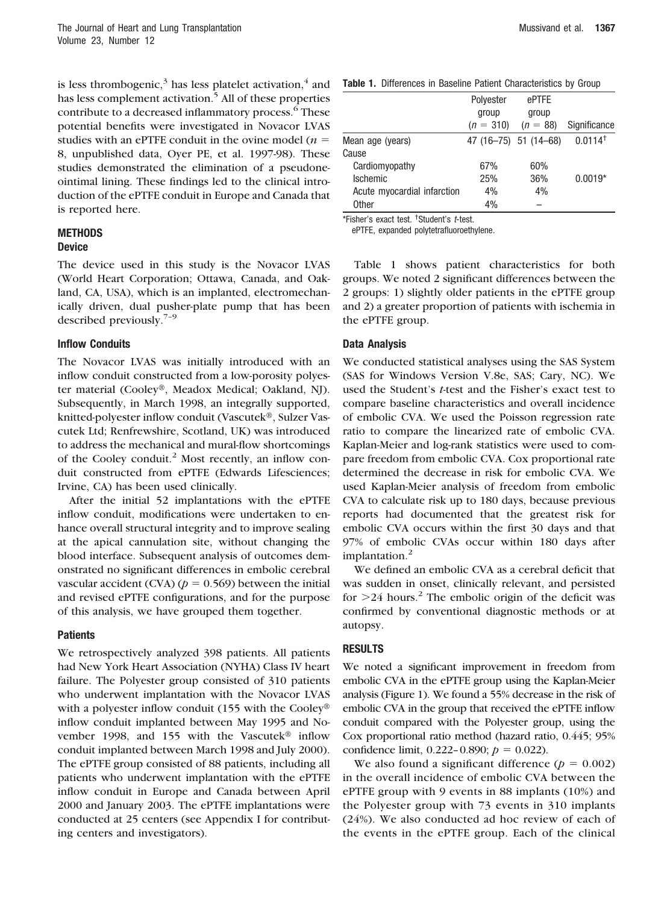is less thrombogenic, $3$  has less platelet activation, $4$  and has less complement activation.<sup>5</sup> All of these properties contribute to a decreased inflammatory process.<sup>6</sup> These potential benefits were investigated in Novacor LVAS studies with an ePTFE conduit in the ovine model (*n* 8, unpublished data, Oyer PE, et al. 1997-98). These studies demonstrated the elimination of a pseudoneointimal lining. These findings led to the clinical introduction of the ePTFE conduit in Europe and Canada that is reported here.

# **METHODS**

## **Device**

The device used in this study is the Novacor LVAS (World Heart Corporation; Ottawa, Canada, and Oakland, CA, USA), which is an implanted, electromechanically driven, dual pusher-plate pump that has been described previously[.7–9](#page-4-0)

#### **Inflow Conduits**

The Novacor LVAS was initially introduced with an inflow conduit constructed from a low-porosity polyester material (Cooley®, Meadox Medical; Oakland, NJ). Subsequently, in March 1998, an integrally supported, knitted-polyester inflow conduit (Vascutek®, Sulzer Vascutek Ltd; Renfrewshire, Scotland, UK) was introduced to address the mechanical and mural-flow shortcomings of the Cooley conduit.<sup>2</sup> Most recently, an inflow conduit constructed from ePTFE (Edwards Lifesciences; Irvine, CA) has been used clinically.

After the initial 52 implantations with the ePTFE inflow conduit, modifications were undertaken to enhance overall structural integrity and to improve sealing at the apical cannulation site, without changing the blood interface. Subsequent analysis of outcomes demonstrated no significant differences in embolic cerebral vascular accident (CVA) ( $p = 0.569$ ) between the initial and revised ePTFE configurations, and for the purpose of this analysis, we have grouped them together.

#### **Patients**

We retrospectively analyzed 398 patients. All patients had New York Heart Association (NYHA) Class IV heart failure. The Polyester group consisted of 310 patients who underwent implantation with the Novacor LVAS with a polyester inflow conduit (155 with the Cooley<sup>®</sup> inflow conduit implanted between May 1995 and November 1998, and 155 with the Vascutek $\mathbb{R}$  inflow conduit implanted between March 1998 and July 2000). The ePTFE group consisted of 88 patients, including all patients who underwent implantation with the ePTFE inflow conduit in Europe and Canada between April 2000 and January 2003. The ePTFE implantations were conducted at 25 centers (see Appendix I for contributing centers and investigators).

|  |  |  |  |  |  | Table 1. Differences in Baseline Patient Characteristics by Group |  |  |
|--|--|--|--|--|--|-------------------------------------------------------------------|--|--|
|--|--|--|--|--|--|-------------------------------------------------------------------|--|--|

|                             | Polyester             | ePTFE      |                     |
|-----------------------------|-----------------------|------------|---------------------|
|                             | group                 | group      |                     |
|                             | $(n = 310)$           | $(n = 88)$ | Significance        |
| Mean age (years)            | 47 (16-75) 51 (14-68) |            | 0.0114 <sup>†</sup> |
| Cause                       |                       |            |                     |
| Cardiomyopathy              | 67%                   | 60%        |                     |
| Ischemic                    | 25%                   | 36%        | $0.0019*$           |
| Acute myocardial infarction | 4%                    | 4%         |                     |
| Other                       | 4%                    |            |                     |

\*Fisher's exact test. † Student's *t*-test.

ePTFE, expanded polytetrafluoroethylene.

Table 1 shows patient characteristics for both groups. We noted 2 significant differences between the 2 groups: 1) slightly older patients in the ePTFE group and 2) a greater proportion of patients with ischemia in the ePTFE group.

#### **Data Analysis**

We conducted statistical analyses using the SAS System (SAS for Windows Version V.8e, SAS; Cary, NC). We used the Student's *t*-test and the Fisher's exact test to compare baseline characteristics and overall incidence of embolic CVA. We used the Poisson regression rate ratio to compare the linearized rate of embolic CVA. Kaplan-Meier and log-rank statistics were used to compare freedom from embolic CVA. Cox proportional rate determined the decrease in risk for embolic CVA. We used Kaplan-Meier analysis of freedom from embolic CVA to calculate risk up to 180 days, because previous reports had documented that the greatest risk for embolic CVA occurs within the first 30 days and that 97% of embolic CVAs occur within 180 days after implantation.<sup>2</sup>

We defined an embolic CVA as a cerebral deficit that was sudden in onset, clinically relevant, and persisted for  $>$ 24 hours.<sup>2</sup> The embolic origin of the deficit was confirmed by conventional diagnostic methods or at autopsy.

## **RESULTS**

We noted a significant improvement in freedom from embolic CVA in the ePTFE group using the Kaplan-Meier analysis [\(Figure 1\)](#page-2-0). We found a 55% decrease in the risk of embolic CVA in the group that received the ePTFE inflow conduit compared with the Polyester group, using the Cox proportional ratio method (hazard ratio, 0.445; 95% confidence limit,  $0.222 - 0.890$ ;  $p = 0.022$ ).

We also found a significant difference  $(p = 0.002)$ in the overall incidence of embolic CVA between the ePTFE group with 9 events in 88 implants (10%) and the Polyester group with 73 events in 310 implants (24%). We also conducted ad hoc review of each of the events in the ePTFE group. Each of the clinical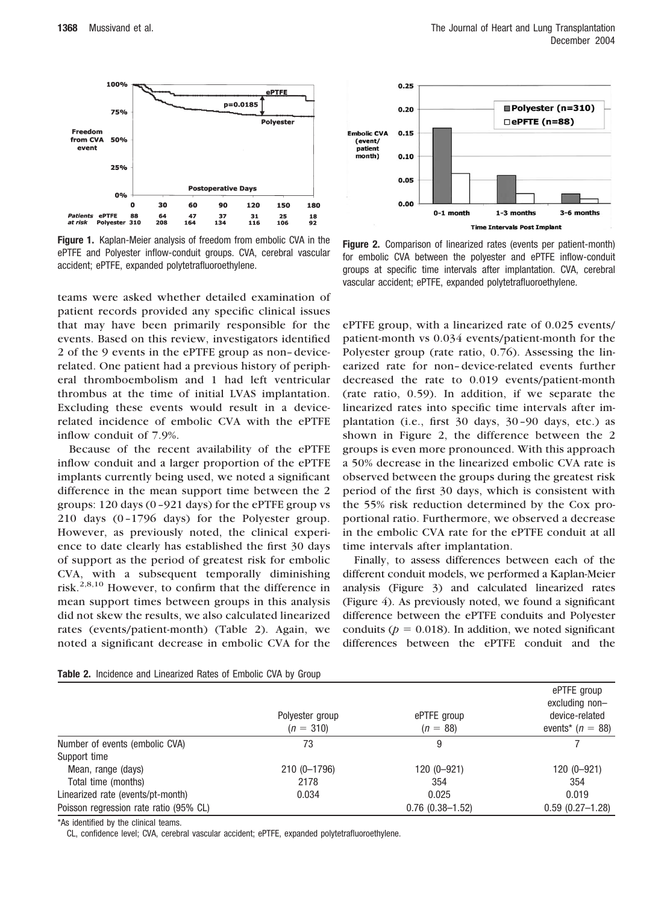<span id="page-2-0"></span>

**Figure 1.** Kaplan-Meier analysis of freedom from embolic CVA in the ePTFE and Polyester inflow-conduit groups. CVA, cerebral vascular accident; ePTFE, expanded polytetrafluoroethylene.

teams were asked whether detailed examination of patient records provided any specific clinical issues that may have been primarily responsible for the events. Based on this review, investigators identified 2 of the 9 events in the ePTFE group as non– devicerelated. One patient had a previous history of peripheral thromboembolism and 1 had left ventricular thrombus at the time of initial LVAS implantation. Excluding these events would result in a devicerelated incidence of embolic CVA with the ePTFE inflow conduit of 7.9%.

Because of the recent availability of the ePTFE inflow conduit and a larger proportion of the ePTFE implants currently being used, we noted a significant difference in the mean support time between the 2 groups: 120 days (0 –921 days) for the ePTFE group vs 210 days (0 –1796 days) for the Polyester group. However, as previously noted, the clinical experience to date clearly has established the first 30 days of support as the period of greatest risk for embolic CVA, with a subsequent temporally diminishing risk.<sup>[2,8,10](#page-4-0)</sup> However, to confirm that the difference in mean support times between groups in this analysis did not skew the results, we also calculated linearized rates (events/patient-month) (Table 2). Again, we noted a significant decrease in embolic CVA for the



**Figure 2.** Comparison of linearized rates (events per patient-month) for embolic CVA between the polyester and ePTFE inflow-conduit groups at specific time intervals after implantation. CVA, cerebral vascular accident; ePTFE, expanded polytetrafluoroethylene.

ePTFE group, with a linearized rate of 0.025 events/ patient-month vs 0.034 events/patient-month for the Polyester group (rate ratio, 0.76). Assessing the linearized rate for non– device-related events further decreased the rate to 0.019 events/patient-month (rate ratio, 0.59). In addition, if we separate the linearized rates into specific time intervals after implantation (i.e., first 30 days, 30 –90 days, etc.) as shown in Figure 2, the difference between the 2 groups is even more pronounced. With this approach a 50% decrease in the linearized embolic CVA rate is observed between the groups during the greatest risk period of the first 30 days, which is consistent with the 55% risk reduction determined by the Cox proportional ratio. Furthermore, we observed a decrease in the embolic CVA rate for the ePTFE conduit at all time intervals after implantation.

Finally, to assess differences between each of the different conduit models, we performed a Kaplan-Meier analysis [\(Figure 3\)](#page-3-0) and calculated linearized rates [\(Figure 4\)](#page-3-0). As previously noted, we found a significant difference between the ePTFE conduits and Polyester conduits ( $p = 0.018$ ). In addition, we noted significant differences between the ePTFE conduit and the

|                                        | Polyester group<br>$(n = 310)$ | ePTFE group<br>$(n = 88)$ | ePTFE group<br>excluding non-<br>device-related<br>events* $(n = 88)$ |
|----------------------------------------|--------------------------------|---------------------------|-----------------------------------------------------------------------|
| Number of events (embolic CVA)         | 73                             | 9                         |                                                                       |
| Support time                           |                                |                           |                                                                       |
| Mean, range (days)                     | 210 (0-1796)                   | $120(0-921)$              | 120 (0-921)                                                           |
| Total time (months)                    | 2178                           | 354                       | 354                                                                   |
| Linearized rate (events/pt-month)      | 0.034                          | 0.025                     | 0.019                                                                 |
| Poisson regression rate ratio (95% CL) |                                | $0.76$ $(0.38 - 1.52)$    | $0.59(0.27 - 1.28)$                                                   |

**Table 2.** Incidence and Linearized Rates of Embolic CVA by Group

\*As identified by the clinical teams.

CL, confidence level; CVA, cerebral vascular accident; ePTFE, expanded polytetrafluoroethylene.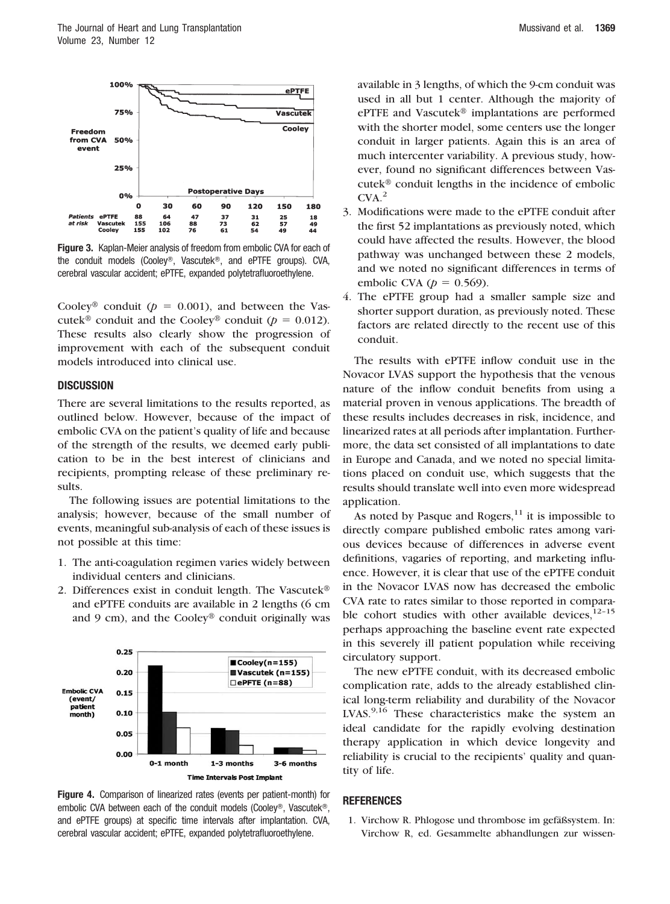<span id="page-3-0"></span>

**Figure 3.** Kaplan-Meier analysis of freedom from embolic CVA for each of the conduit models (Cooley®, Vascutek®, and ePTFE groups). CVA, cerebral vascular accident; ePTFE, expanded polytetrafluoroethylene.

Cooley<sup>®</sup> conduit ( $p = 0.001$ ), and between the Vascutek<sup>®</sup> conduit and the Cooley<sup>®</sup> conduit ( $p = 0.012$ ). These results also clearly show the progression of improvement with each of the subsequent conduit models introduced into clinical use.

#### **DISCUSSION**

There are several limitations to the results reported, as outlined below. However, because of the impact of embolic CVA on the patient's quality of life and because of the strength of the results, we deemed early publication to be in the best interest of clinicians and recipients, prompting release of these preliminary results.

The following issues are potential limitations to the analysis; however, because of the small number of events, meaningful sub-analysis of each of these issues is not possible at this time:

- 1. The anti-coagulation regimen varies widely between individual centers and clinicians.
- 2. Differences exist in conduit length. The Vascutek and ePTFE conduits are available in 2 lengths (6 cm and 9 cm), and the Cooley® conduit originally was



**Figure 4.** Comparison of linearized rates (events per patient-month) for embolic CVA between each of the conduit models (Cooley®, Vascutek®, and ePTFE groups) at specific time intervals after implantation. CVA, cerebral vascular accident; ePTFE, expanded polytetrafluoroethylene.

available in 3 lengths, of which the 9-cm conduit was used in all but 1 center. Although the majority of ePTFE and Vascutek<sup>®</sup> implantations are performed with the shorter model, some centers use the longer conduit in larger patients. Again this is an area of much intercenter variability. A previous study, however, found no significant differences between Vascutek $\mathcal P$  conduit lengths in the incidence of embolic CVA.<sup>2</sup>

- 3. Modifications were made to the ePTFE conduit after the first 52 implantations as previously noted, which could have affected the results. However, the blood pathway was unchanged between these 2 models, and we noted no significant differences in terms of embolic CVA ( $p = 0.569$ ).
- 4. The ePTFE group had a smaller sample size and shorter support duration, as previously noted. These factors are related directly to the recent use of this conduit.

The results with ePTFE inflow conduit use in the Novacor LVAS support the hypothesis that the venous nature of the inflow conduit benefits from using a material proven in venous applications. The breadth of these results includes decreases in risk, incidence, and linearized rates at all periods after implantation. Furthermore, the data set consisted of all implantations to date in Europe and Canada, and we noted no special limitations placed on conduit use, which suggests that the results should translate well into even more widespread application.

As noted by Pasque and Rogers, $11$  it is impossible to directly compare published embolic rates among various devices because of differences in adverse event definitions, vagaries of reporting, and marketing influence. However, it is clear that use of the ePTFE conduit in the Novacor LVAS now has decreased the embolic CVA rate to rates similar to those reported in comparable cohort studies with other available devices, $12-15$ perhaps approaching the baseline event rate expected in this severely ill patient population while receiving circulatory support.

The new ePTFE conduit, with its decreased embolic complication rate, adds to the already established clinical long-term reliability and durability of the Novacor LVAS. $9,16$  These characteristics make the system an ideal candidate for the rapidly evolving destination therapy application in which device longevity and reliability is crucial to the recipients' quality and quantity of life.

#### **REFERENCES**

1. Virchow R. Phlogose und thrombose im gefäßsystem. In: Virchow R, ed. Gesammelte abhandlungen zur wissen